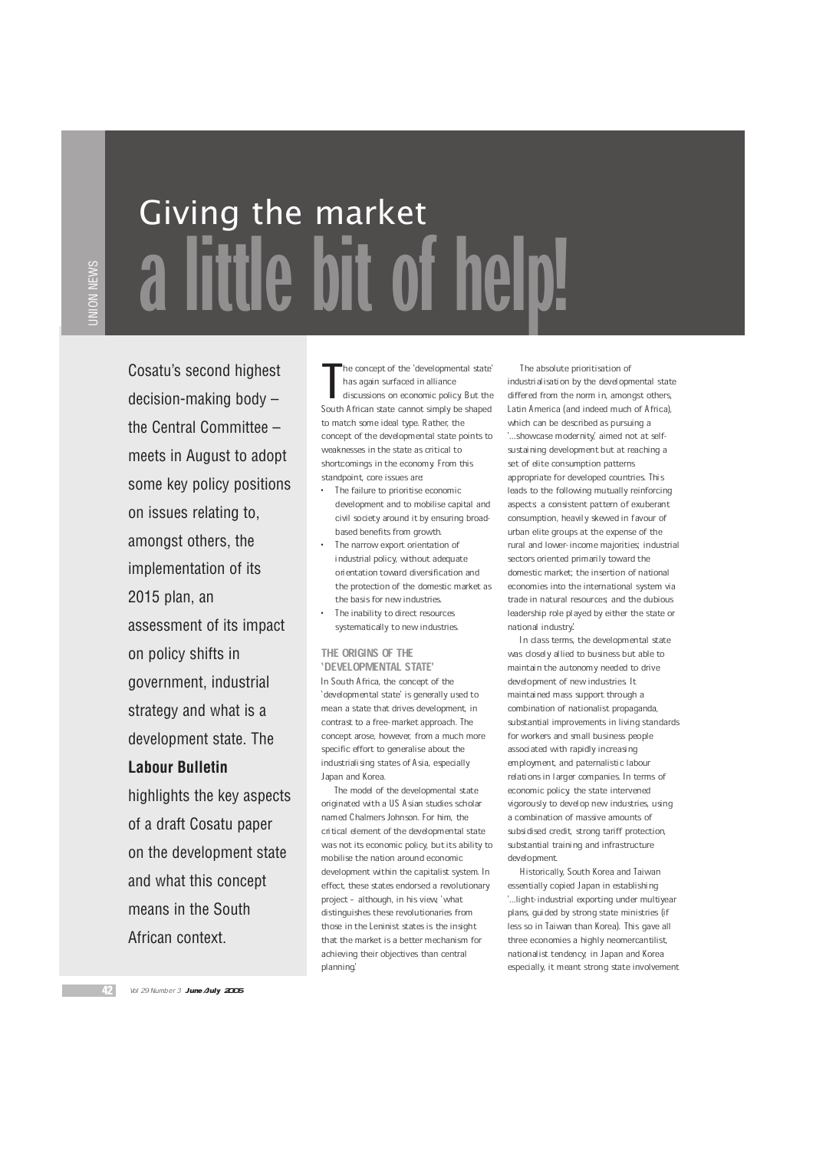UNION NEWS

## Giving the market a little bit of help!

Cosatu's second highest decision-making body – the Central Committee – meets in August to adopt some key policy positions on issues relating to, amongst others, the implementation of its 2015 plan, an assessment of its impact on policy shifts in government, industrial strategy and what is a development state. The **Labour Bulletin** highlights the key aspects of a draft Cosatu paper on the development state and what this concept means in the South

The concept of the 'developmental state<br>
has again surfaced in alliance<br>
discussions on economic policy. But the<br>
South African state cannot simply be shaped he concept of the `developmental state' has again surfaced in alliance discussions on economic policy. But the to match some ideal type. Rather, the concept of the developmental state points to weaknesses in the state as critical to shortcomings in the economy. From this standpoint, core issues are:

- The failure to prioritise economic development and to mobilise capital and civil society around it by ensuring broadbased benefits from growth.
- The narrow export orientation of industrial policy, without adequate orientation toward diversification and the protection of the domestic market as the basis for new industries.
- The inability to direct resources systematically to new industries.

## THE ORIGINS OF THE `DEVELOPMENTAL STATE' In South Africa, the concept of the `developmental state' is generally used to mean a state that drives development, in contrast to a free-market approach. The concept arose, however, from a much more specific effort to generalise about the industrialising states of Asia, especially Japan and Korea.

The model of the developmental state originated with a US Asian studies scholar named Chalmers Johnson. For him, the critical element of the developmental state was not its economic policy, but its ability to mobilise the nation around economic development within the capitalist system. In effect, these states endorsed a revolutionary project - although, in his view, 'what distinguishes these revolutionaries from those in the Leninist states is the insight that the market is a better mechanism for achieving their objectives than central planning.'

The absolute prioritisation of industrialisation by the developmental state differed from the norm in, amongst others, Latin America (and indeed much of Africa), which can be described as pursuing a '...showcase modernity,' aimed not at selfsustaining development but at reaching a set of elite consumption patterns appropriate for developed countries. This leads to the following mutually reinforcing aspects: a consistent pattern of exuberant consumption, heavily skewed in favour of urban elite groups at the expense of the rural and lower-income majorities; industrial sectors oriented primarily toward the domestic market; the insertion of national economies into the international system via trade in natural resources; and the dubious leadership role played by either the state or national industry.'.

In class terms, the developmental state was closely allied to business but able to maintain the autonomy needed to drive development of new industries. It maintained mass support through a combination of nationalist propaganda, substantial improvements in living standards for workers and small business people associated with rapidly increasing employment, and paternalistic labour relations in larger companies. In terms of economic policy, the state intervened vigorously to develop new industries, using a combination of massive amounts of subsidised credit, strong tariff protection, substantial training and infrastructure development.

Historically, South Korea and Taiwan essentially copied Japan in establishing '... light-industrial exporting under multiyear plans, guided by strong state ministries (if less so in Taiwan than Korea). This gave all three economies a highly neomercantilist, nationalist tendency; in Japan and Korea especially, it meant strong state involvement

African context.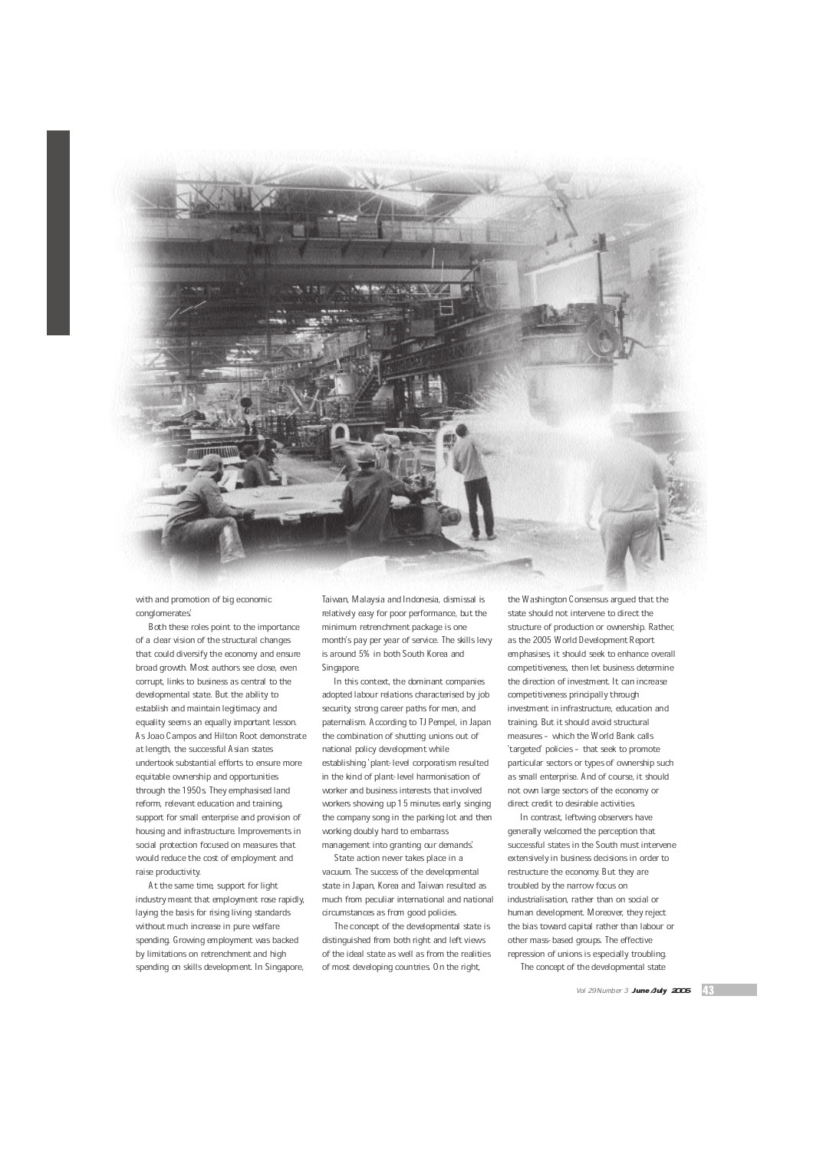

with and promotion of big economic conglomerates.'

Both these roles point to the importance of a clear vision of the structural changes that could diversify the economy and ensure broad growth. Most authors see close, even corrupt, links to business as central to the developmental state. But the ability to establish and maintain legitimacy and equality seems an equally important lesson. As Joao Campos and Hilton Root demonstrate at length, the successful Asian states undertook substantial efforts to ensure more equitable ownership and opportunities through the 1950s. They emphasised land reform, relevant education and training, support for small enterprise and provision of housing and infrastructure. Improvements in social protection focused on measures that would reduce the cost of employment and raise productivity.

At the same time, support for light industry meant that employment rose rapidly, laying the basis for rising living standards without much increase in pure welfare spending. Growing employment was backed by limitations on retrenchment and high spending on skills development. In Singapore,

Taiwan, Malaysia and Indonesia, dismissal is relatively easy for poor performance, but the minimum retrenchment package is one month's pay per year of service. The skills levy is around 5% in both South Korea and Singapore.

In this context, the dominant companies adopted labour relations characterised by job security, strong career paths for men, and paternalism. According to TJ Pempel, in Japan the combination of shutting unions out of national policy development while establishing `plant-level corporatism resulted in the kind of plant-level harmonisation of worker and business interests that involved workers showing up 15 minutes early, singing the company song in the parking lot and then working doubly hard to embarrass management into granting our demands.'

State action never takes place in a vacuum. The success of the developmental state in Japan, Korea and Taiwan resulted as much from peculiar international and national circumstances as from good policies.

The concept of the developmental state is distinguished from both right and left views of the ideal state as well as from the realities of most developing countries. On the right,

the Washington Consensus argued that the state should not intervene to direct the structure of production or ownership. Rather, as the 2005 World Development Report emphasises, it should seek to enhance overall competitiveness, then let business determine the direction of investment. It can increase competitiveness principally through investment in infrastructure, education and training. But it should avoid structural measures - which the World Bank calls 'targeted' policies - that seek to promote particular sectors or types of ownership such as small enterprise. And of course, it should not own large sectors of the economy or direct credit to desirable activities.

In contrast, leftwing observers have generally welcomed the perception that successful states in the South must intervene extensively in business decisions in order to restructure the economy. But they are troubled by the narrow focus on industrialisation, rather than on social or human development. Moreover, they reject the bias toward capital rather than labour or other mass-based groups. The effective repression of unions is especially troubling. The concept of the developmental state